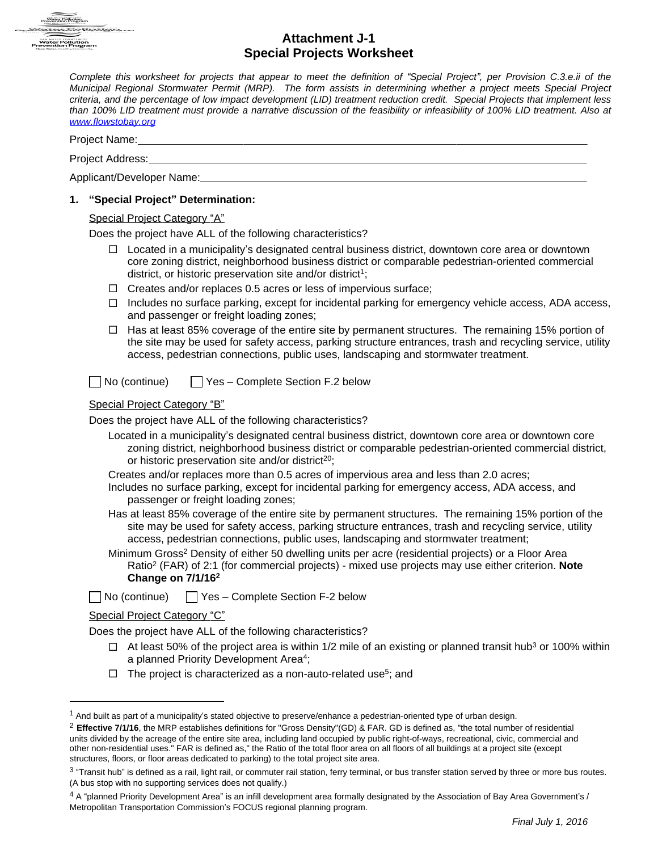

# **Attachment J-1**

| n Program                                                   | <b>Special Projects Worksheet</b>                                                                                                                                                                                                                                                                                                                                                                                                                                                                                                                                                                                                                                                                                                                                                                                                                                                                              |  |  |  |  |  |  |
|-------------------------------------------------------------|----------------------------------------------------------------------------------------------------------------------------------------------------------------------------------------------------------------------------------------------------------------------------------------------------------------------------------------------------------------------------------------------------------------------------------------------------------------------------------------------------------------------------------------------------------------------------------------------------------------------------------------------------------------------------------------------------------------------------------------------------------------------------------------------------------------------------------------------------------------------------------------------------------------|--|--|--|--|--|--|
| www.flowstobay.org                                          | Complete this worksheet for projects that appear to meet the definition of "Special Project", per Provision C.3.e.ii of the<br>Municipal Regional Stormwater Permit (MRP). The form assists in determining whether a project meets Special Project<br>criteria, and the percentage of low impact development (LID) treatment reduction credit. Special Projects that implement less<br>than 100% LID treatment must provide a narrative discussion of the feasibility or infeasibility of 100% LID treatment. Also at                                                                                                                                                                                                                                                                                                                                                                                          |  |  |  |  |  |  |
|                                                             |                                                                                                                                                                                                                                                                                                                                                                                                                                                                                                                                                                                                                                                                                                                                                                                                                                                                                                                |  |  |  |  |  |  |
|                                                             |                                                                                                                                                                                                                                                                                                                                                                                                                                                                                                                                                                                                                                                                                                                                                                                                                                                                                                                |  |  |  |  |  |  |
|                                                             |                                                                                                                                                                                                                                                                                                                                                                                                                                                                                                                                                                                                                                                                                                                                                                                                                                                                                                                |  |  |  |  |  |  |
| "Special Project" Determination:<br>1.                      |                                                                                                                                                                                                                                                                                                                                                                                                                                                                                                                                                                                                                                                                                                                                                                                                                                                                                                                |  |  |  |  |  |  |
| $\Box$<br>ப<br>□<br>□                                       | Special Project Category "A"<br>Does the project have ALL of the following characteristics?<br>Located in a municipality's designated central business district, downtown core area or downtown<br>core zoning district, neighborhood business district or comparable pedestrian-oriented commercial<br>district, or historic preservation site and/or district <sup>1</sup> ;<br>Creates and/or replaces 0.5 acres or less of impervious surface;<br>Includes no surface parking, except for incidental parking for emergency vehicle access, ADA access,<br>and passenger or freight loading zones;<br>Has at least 85% coverage of the entire site by permanent structures. The remaining 15% portion of<br>the site may be used for safety access, parking structure entrances, trash and recycling service, utility<br>access, pedestrian connections, public uses, landscaping and stormwater treatment. |  |  |  |  |  |  |
|                                                             | No (continue)<br>Yes - Complete Section F.2 below<br><b>Special Project Category "B"</b>                                                                                                                                                                                                                                                                                                                                                                                                                                                                                                                                                                                                                                                                                                                                                                                                                       |  |  |  |  |  |  |
| Does the project have ALL of the following characteristics? |                                                                                                                                                                                                                                                                                                                                                                                                                                                                                                                                                                                                                                                                                                                                                                                                                                                                                                                |  |  |  |  |  |  |
|                                                             | Located in a municipality's designated central business district, downtown core area or downtown core<br>zoning district, neighborhood business district or comparable pedestrian-oriented commercial district,<br>or historic preservation site and/or district <sup>20</sup> ;                                                                                                                                                                                                                                                                                                                                                                                                                                                                                                                                                                                                                               |  |  |  |  |  |  |
|                                                             | Creates and/or replaces more than 0.5 acres of impervious area and less than 2.0 acres;<br>Includes no surface parking, except for incidental parking for emergency access, ADA access, and<br>passenger or freight loading zones;                                                                                                                                                                                                                                                                                                                                                                                                                                                                                                                                                                                                                                                                             |  |  |  |  |  |  |
|                                                             | Has at least 85% coverage of the entire site by permanent structures. The remaining 15% portion of the<br>site may be used for safety access, parking structure entrances, trash and recycling service, utility<br>access, pedestrian connections, public uses, landscaping and stormwater treatment;                                                                                                                                                                                                                                                                                                                                                                                                                                                                                                                                                                                                          |  |  |  |  |  |  |
|                                                             | Minimum Gross <sup>2</sup> Density of either 50 dwelling units per acre (residential projects) or a Floor Area<br>Ratio <sup>2</sup> (FAR) of 2:1 (for commercial projects) - mixed use projects may use either criterion. Note<br>Change on 7/1/16 <sup>2</sup>                                                                                                                                                                                                                                                                                                                                                                                                                                                                                                                                                                                                                                               |  |  |  |  |  |  |
|                                                             | Yes - Complete Section F-2 below<br>No (continue)                                                                                                                                                                                                                                                                                                                                                                                                                                                                                                                                                                                                                                                                                                                                                                                                                                                              |  |  |  |  |  |  |
|                                                             | <b>Special Project Category "C"</b>                                                                                                                                                                                                                                                                                                                                                                                                                                                                                                                                                                                                                                                                                                                                                                                                                                                                            |  |  |  |  |  |  |
| Does the project have ALL of the following characteristics? |                                                                                                                                                                                                                                                                                                                                                                                                                                                                                                                                                                                                                                                                                                                                                                                                                                                                                                                |  |  |  |  |  |  |
|                                                             | $\Box$ At least 50% of the project area is within 1/2 mile of an existing or planned transit hub <sup>3</sup> or 100% within<br>a planned Priority Development Area <sup>4</sup> ;                                                                                                                                                                                                                                                                                                                                                                                                                                                                                                                                                                                                                                                                                                                             |  |  |  |  |  |  |
| □                                                           | The project is characterized as a non-auto-related use <sup>5</sup> ; and                                                                                                                                                                                                                                                                                                                                                                                                                                                                                                                                                                                                                                                                                                                                                                                                                                      |  |  |  |  |  |  |

<sup>&</sup>lt;sup>1</sup> And built as part of a municipality's stated objective to preserve/enhance a pedestrian-oriented type of urban design.

<sup>2</sup> **Effective 7/1/16**, the MRP establishes definitions for "Gross Density"(GD) & FAR. GD is defined as, "the total number of residential units divided by the acreage of the entire site area, including land occupied by public right-of-ways, recreational, civic, commercial and other non-residential uses." FAR is defined as," the Ratio of the total floor area on all floors of all buildings at a project site (except structures, floors, or floor areas dedicated to parking) to the total project site area.

 $3$  "Transit hub" is defined as a rail, light rail, or commuter rail station, ferry terminal, or bus transfer station served by three or more bus routes. (A bus stop with no supporting services does not qualify.)

<sup>&</sup>lt;sup>4</sup> A "planned Priority Development Area" is an infill development area formally designated by the Association of Bay Area Government's / Metropolitan Transportation Commission's FOCUS regional planning program.